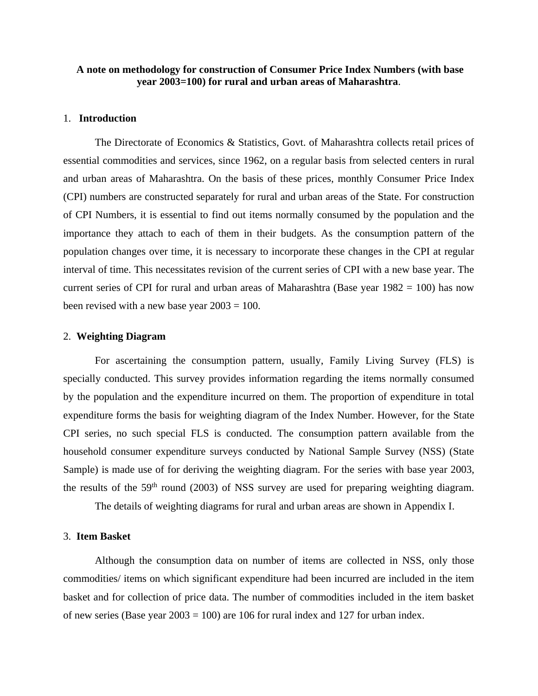# **A note on methodology for construction of Consumer Price Index Numbers (with base year 2003=100) for rural and urban areas of Maharashtra**.

# 1. **Introduction**

The Directorate of Economics & Statistics, Govt. of Maharashtra collects retail prices of essential commodities and services, since 1962, on a regular basis from selected centers in rural and urban areas of Maharashtra. On the basis of these prices, monthly Consumer Price Index (CPI) numbers are constructed separately for rural and urban areas of the State. For construction of CPI Numbers, it is essential to find out items normally consumed by the population and the importance they attach to each of them in their budgets. As the consumption pattern of the population changes over time, it is necessary to incorporate these changes in the CPI at regular interval of time. This necessitates revision of the current series of CPI with a new base year. The current series of CPI for rural and urban areas of Maharashtra (Base year  $1982 = 100$ ) has now been revised with a new base year  $2003 = 100$ .

## 2. **Weighting Diagram**

For ascertaining the consumption pattern, usually, Family Living Survey (FLS) is specially conducted. This survey provides information regarding the items normally consumed by the population and the expenditure incurred on them. The proportion of expenditure in total expenditure forms the basis for weighting diagram of the Index Number. However, for the State CPI series, no such special FLS is conducted. The consumption pattern available from the household consumer expenditure surveys conducted by National Sample Survey (NSS) (State Sample) is made use of for deriving the weighting diagram. For the series with base year 2003, the results of the  $59<sup>th</sup>$  round (2003) of NSS survey are used for preparing weighting diagram.

The details of weighting diagrams for rural and urban areas are shown in Appendix I.

## 3. **Item Basket**

Although the consumption data on number of items are collected in NSS, only those commodities/ items on which significant expenditure had been incurred are included in the item basket and for collection of price data. The number of commodities included in the item basket of new series (Base year  $2003 = 100$ ) are 106 for rural index and 127 for urban index.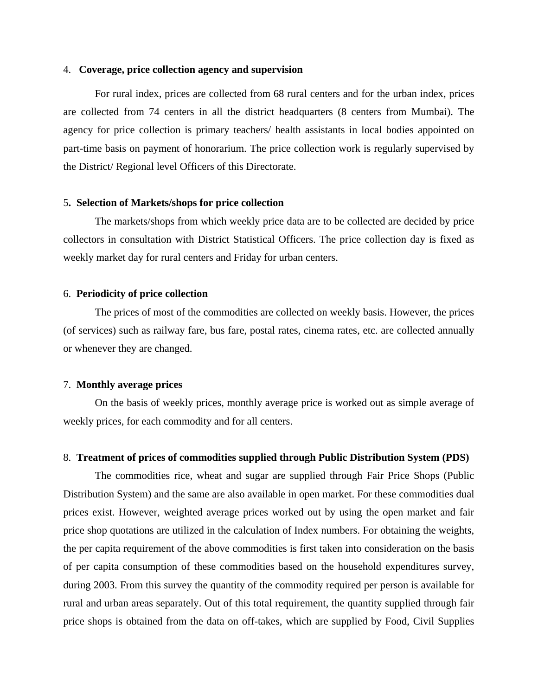# 4. **Coverage, price collection agency and supervision**

For rural index, prices are collected from 68 rural centers and for the urban index, prices are collected from 74 centers in all the district headquarters (8 centers from Mumbai). The agency for price collection is primary teachers/ health assistants in local bodies appointed on part-time basis on payment of honorarium. The price collection work is regularly supervised by the District/ Regional level Officers of this Directorate.

## 5**. Selection of Markets/shops for price collection**

The markets/shops from which weekly price data are to be collected are decided by price collectors in consultation with District Statistical Officers. The price collection day is fixed as weekly market day for rural centers and Friday for urban centers.

#### 6. **Periodicity of price collection**

The prices of most of the commodities are collected on weekly basis. However, the prices (of services) such as railway fare, bus fare, postal rates, cinema rates, etc. are collected annually or whenever they are changed.

### 7. **Monthly average prices**

On the basis of weekly prices, monthly average price is worked out as simple average of weekly prices, for each commodity and for all centers.

#### 8. **Treatment of prices of commodities supplied through Public Distribution System (PDS)**

The commodities rice, wheat and sugar are supplied through Fair Price Shops (Public Distribution System) and the same are also available in open market. For these commodities dual prices exist. However, weighted average prices worked out by using the open market and fair price shop quotations are utilized in the calculation of Index numbers. For obtaining the weights, the per capita requirement of the above commodities is first taken into consideration on the basis of per capita consumption of these commodities based on the household expenditures survey, during 2003. From this survey the quantity of the commodity required per person is available for rural and urban areas separately. Out of this total requirement, the quantity supplied through fair price shops is obtained from the data on off-takes, which are supplied by Food, Civil Supplies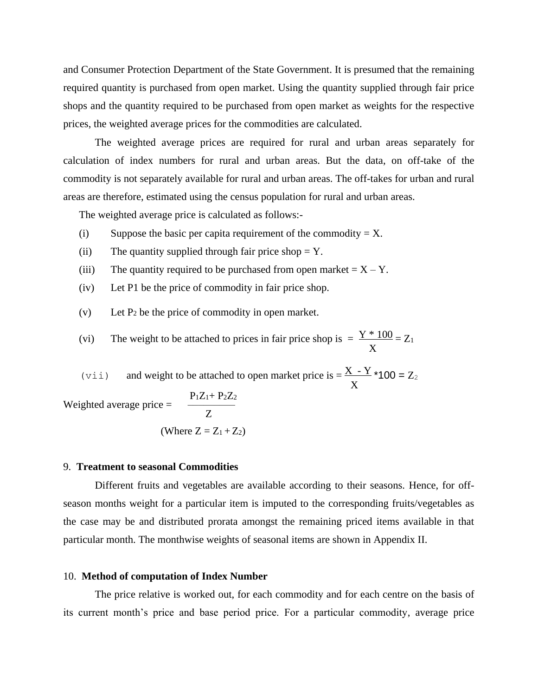and Consumer Protection Department of the State Government. It is presumed that the remaining required quantity is purchased from open market. Using the quantity supplied through fair price shops and the quantity required to be purchased from open market as weights for the respective prices, the weighted average prices for the commodities are calculated.

The weighted average prices are required for rural and urban areas separately for calculation of index numbers for rural and urban areas. But the data, on off-take of the commodity is not separately available for rural and urban areas. The off-takes for urban and rural areas are therefore, estimated using the census population for rural and urban areas.

The weighted average price is calculated as follows:-

- (i) Suppose the basic per capita requirement of the commodity  $= X$ .
- (ii) The quantity supplied through fair price shop  $= Y$ .
- (iii) The quantity required to be purchased from open market  $= X Y$ .
- (iv) Let P1 be the price of commodity in fair price shop.
- (v) Let  $P_2$  be the price of commodity in open market.
- (vi) The weight to be attached to prices in fair price shop is  $= \frac{Y * 100}{Z_1} = Z_1$  $\sim$  X

(vii) and weight to be attached to open market price is =  $\frac{X - Y}{100}$  = Z<sub>2</sub>  $\sim$  X

Weighted average price = 
$$
\frac{P_1Z_1 + P_2Z_2}{Z}
$$

(Where 
$$
Z = Z_1 + Z_2
$$
)

### 9. **Treatment to seasonal Commodities**

Different fruits and vegetables are available according to their seasons. Hence, for offseason months weight for a particular item is imputed to the corresponding fruits/vegetables as the case may be and distributed prorata amongst the remaining priced items available in that particular month. The monthwise weights of seasonal items are shown in Appendix II.

### 10. **Method of computation of Index Number**

The price relative is worked out, for each commodity and for each centre on the basis of its current month's price and base period price. For a particular commodity, average price